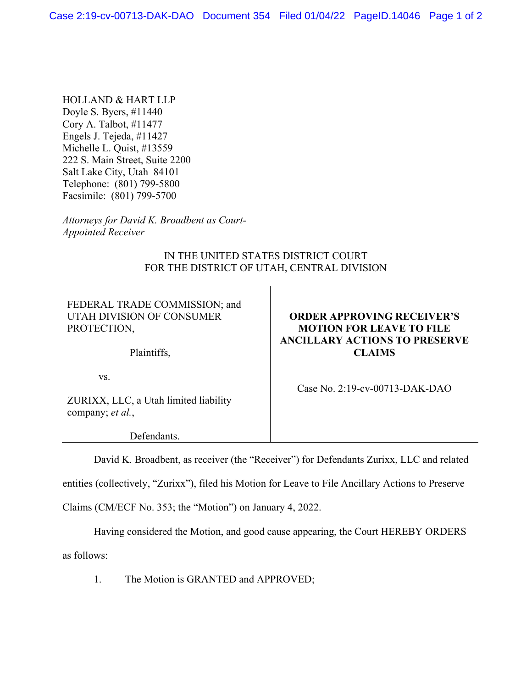HOLLAND & HART LLP Doyle S. Byers, #11440 Cory A. Talbot, #11477 Engels J. Tejeda, #11427 Michelle L. Quist, #13559 222 S. Main Street, Suite 2200 Salt Lake City, Utah 84101 Telephone: (801) 799-5800 Facsimile: (801) 799-5700

*Attorneys for David K. Broadbent as Court-Appointed Receiver* 

## IN THE UNITED STATES DISTRICT COURT FOR THE DISTRICT OF UTAH, CENTRAL DIVISION

FEDERAL TRADE COMMISSION; and UTAH DIVISION OF CONSUMER PROTECTION,

Plaintiffs,

## **ORDER APPROVING RECEIVER'S MOTION FOR LEAVE TO FILE ANCILLARY ACTIONS TO PRESERVE CLAIMS**

vs.

ZURIXX, LLC, a Utah limited liability company; *et al.*,

Defendants.

Case No. 2:19-cv-00713-DAK-DAO

David K. Broadbent, as receiver (the "Receiver") for Defendants Zurixx, LLC and related

entities (collectively, "Zurixx"), filed his Motion for Leave to File Ancillary Actions to Preserve

Claims (CM/ECF No. 353; the "Motion") on January 4, 2022.

Having considered the Motion, and good cause appearing, the Court HEREBY ORDERS

as follows:

1. The Motion is GRANTED and APPROVED;